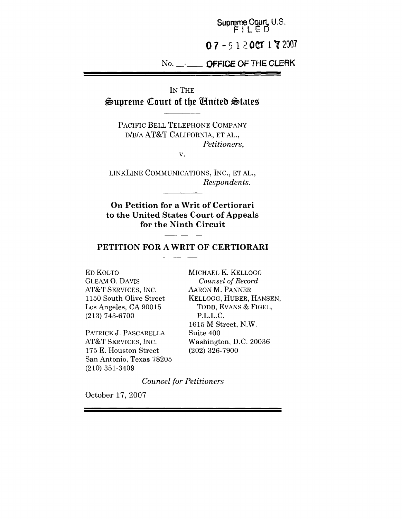Supreme Court, U.S. **FILED 07-5 1 ~OCT l~2007**

# **~o. - OFFICE OF THE CLERK**

IN THE

 $\frac{1}{2}$ supreme Court of the United States

PACIFIC BELL TELEPHONE COMPANY D/B/A AT&T CALIFORNIA, ET AL., *Petitioners,*

V.

LINKLINE COMMUNICATIONS, INC., ET AL., *Respondents.*

**On Petition for a Writ of Certiorari to the United States Court of Appeals for the Ninth Circuit**

## **PETITION FOR A WRIT OF CERTIORARI**

ED KOLTO GLEAM O. DAVIS AT&T SERVICES, INC. 1150 South Olive Street Los Angeles, CA 90015 (213) 743-6700

PATRICK J. PASCARELLA AT&T SERVICES, INC. 175 E. Houston Street San Antonio, Texas 78205 (210) 351-3409

MICHAEL K. KELLOGG *Counsel of Record* AARON M. PANNER KELLOGG, HUBER, HANSEN, TODD, EVANS & FIGEL, P.L.L.C. 1615 M Street, N.W. Suite 400 Washington, D.C. 20036 (202) 326-7900

*Counsel for Petitioners*

October 17, 2007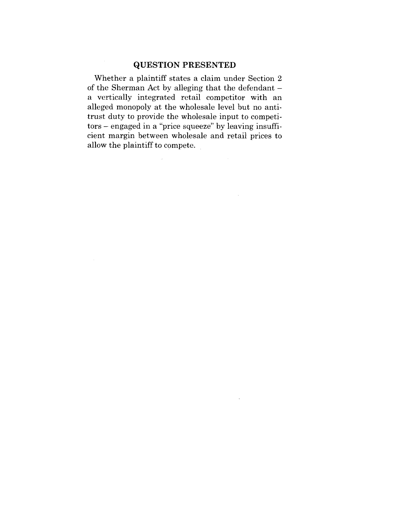## **QUESTION PRESENTED**

Whether a plaintiff states a claim under Section 2 of the Sherman Act by alleging that the defendant a vertically integrated retail competitor with an alleged monopoly at the wholesale level but no antitrust duty to provide the wholesale input to competitors - engaged in a "price squeeze" by leaving insufficient margin between wholesale and retail prices to allow the plaintiff to compete.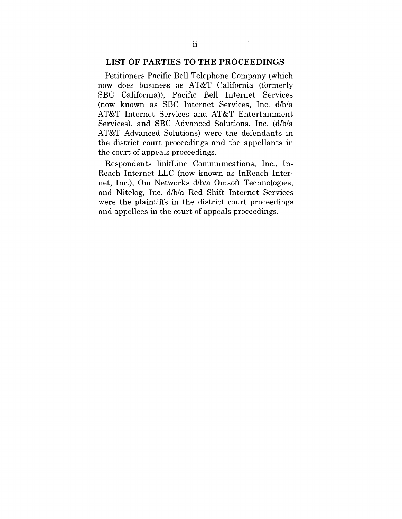#### **LIST OF PARTIES TO THE PROCEEDINGS**

Petitioners Pacific Bell Telephone Company (which now does business as AT&T California (formerly SBC California)), Pacific Bell Internet Services (now known as SBC Internet Services, Inc. d/b/a AT&T Internet Services and AT&T Entertainment Services), and SBC Advanced Solutions, Inc. (d/b/a AT&T Advanced Solutions) were the defendants in the district court proceedings and the appellants in the court of appeals proceedings.

Respondents linkLine Communications, Inc., In-Reach Internet LLC (now known as InReach Internet, Inc.), Om Networks d/b/a Omsoft Technologies, and Nitelog, Inc. d/b/a Red Shift Internet Services were the plaintiffs in the district court proceedings and appellees in the court of appeals proceedings.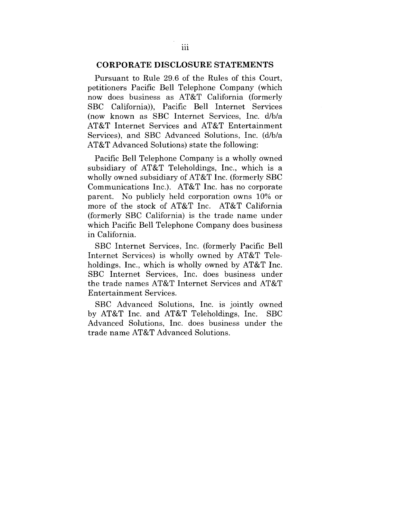## **CORPORATE DISCLOSURE STATEMENTS**

Pursuant to Rule 29.6 of the Rules of this Court, petitioners Pacific Bell Telephone Company (which now does business as AT&T California (formerly SBC California)), Pacific Bell Internet Services (now known as SBC Internet Services, Inc. d/b/a AT&T Internet Services and AT&T Entertainment Services), and SBC Advanced Solutions, Inc. (d/b/a AT&T Advanced Solutions) state the following:

Pacific Bell Telephone Company is a wholly owned subsidiary of AT&T Teleholdings, Inc., which is a wholly owned subsidiary of AT&T Inc. (formerly SBC Communications Inc.). AT&T Inc. has no corporate parent. No publicly held corporation owns 10% or more of the stock of AT&T Inc. AT&T California (formerly SBC California) is the trade name under which Pacific Bell Telephone Company does business in California.

SBC Internet Services, Inc. (formerly Pacific Bell Internet Services) is wholly owned by AT&T Teleholdings, Inc., which is wholly owned by AT&T Inc. SBC Internet Services, Inc. does business under the trade names AT&T Internet Services and AT&T Entertainment Services.

SBC Advanced Solutions, Inc. is jointly owned by AT&T Inc. and AT&T Teleholdings, Inc. SBC Advanced Solutions, Inc. does business under the trade name AT&T Advanced Solutions.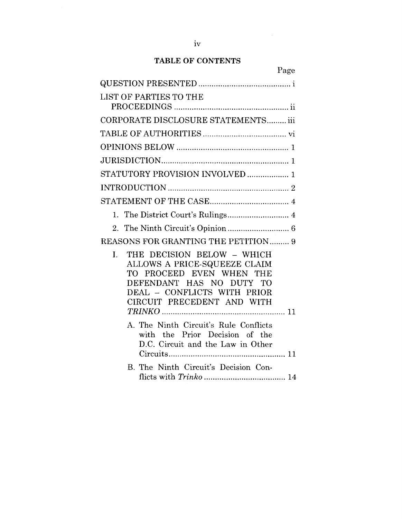# TABLE OF CONTENTS

| Page                                                                                                                                                                                            |
|-------------------------------------------------------------------------------------------------------------------------------------------------------------------------------------------------|
|                                                                                                                                                                                                 |
| LIST OF PARTIES TO THE                                                                                                                                                                          |
| CORPORATE DISCLOSURE STATEMENTS iii                                                                                                                                                             |
|                                                                                                                                                                                                 |
|                                                                                                                                                                                                 |
|                                                                                                                                                                                                 |
| STATUTORY PROVISION INVOLVED  1                                                                                                                                                                 |
|                                                                                                                                                                                                 |
|                                                                                                                                                                                                 |
|                                                                                                                                                                                                 |
|                                                                                                                                                                                                 |
| REASONS FOR GRANTING THE PETITION 9                                                                                                                                                             |
| THE DECISION BELOW - WHICH<br>$\mathbf{L}$<br>ALLOWS A PRICE-SQUEEZE CLAIM<br>TO PROCEED EVEN WHEN THE<br>DEFENDANT HAS NO DUTY TO<br>DEAL - CONFLICTS WITH PRIOR<br>CIRCUIT PRECEDENT AND WITH |
| A. The Ninth Circuit's Rule Conflicts<br>with the Prior Decision of the<br>D.C. Circuit and the Law in Other                                                                                    |
| B. The Ninth Circuit's Decision Con-                                                                                                                                                            |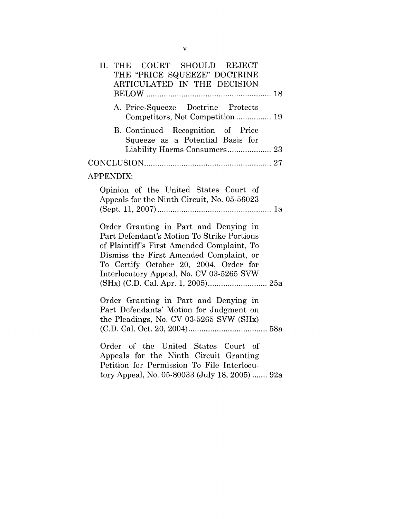| II. THE COURT SHOULD REJECT<br>THE "PRICE SQUEEZE" DOCTRINE<br>ARTICULATED IN THE DECISION                                                                                                                                                                         |
|--------------------------------------------------------------------------------------------------------------------------------------------------------------------------------------------------------------------------------------------------------------------|
| A. Price-Squeeze Doctrine Protects<br>Competitors, Not Competition 19                                                                                                                                                                                              |
| B. Continued Recognition of Price<br>Squeeze as a Potential Basis for<br>Liability Harms Consumers 23                                                                                                                                                              |
|                                                                                                                                                                                                                                                                    |
| APPENDIX:                                                                                                                                                                                                                                                          |
| Opinion of the United States Court of<br>Appeals for the Ninth Circuit, No. 05-56023                                                                                                                                                                               |
| Order Granting in Part and Denying in<br>Part Defendant's Motion To Strike Portions<br>of Plaintiff's First Amended Complaint, To<br>Dismiss the First Amended Complaint, or<br>To Certify October 20, 2004, Order for<br>Interlocutory Appeal, No. CV 03-5265 SVW |
| Order Granting in Part and Denying in<br>Part Defendants' Motion for Judgment on<br>the Pleadings, No. CV 03-5265 SVW (SHx)                                                                                                                                        |
| Order of the United States Court of<br>Appeals for the Ninth Circuit Granting<br>Petition for Permission To File Interlocu-<br>tory Appeal, No. 05-80033 (July 18, 2005)  92a                                                                                      |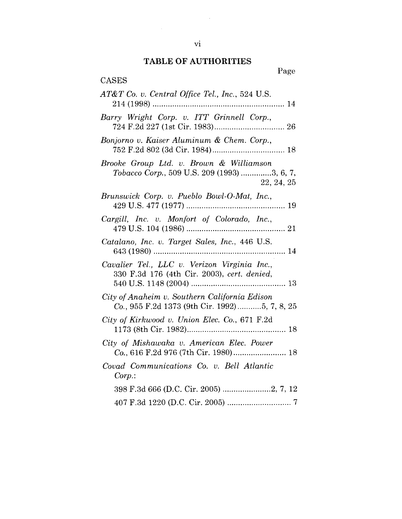# **TABLE OF AUTHORITIES**

| <b>CASES</b>                                                                                         |
|------------------------------------------------------------------------------------------------------|
| AT&T Co. v. Central Office Tel., Inc., 524 U.S.                                                      |
| Barry Wright Corp. v. ITT Grinnell Corp.,                                                            |
| Bonjorno v. Kaiser Aluminum & Chem. Corp.,                                                           |
| Brooke Group Ltd. v. Brown & Williamson<br>Tobacco Corp., 509 U.S. 209 (1993) 3, 6, 7,<br>22, 24, 25 |
| Brunswick Corp. v. Pueblo Bowl-O-Mat, Inc.,                                                          |
| Cargill, Inc. v. Monfort of Colorado, Inc.,                                                          |
| Catalano, Inc. v. Target Sales, Inc., 446 U.S.                                                       |
| Cavalier Tel., LLC v. Verizon Virginia Inc.,<br>330 F.3d 176 (4th Cir. 2003), cert. denied,          |
| City of Anaheim v. Southern California Edison<br>Co., 955 F.2d 1373 (9th Cir. 1992)5, 7, 8, 25       |
| City of Kirkwood v. Union Elec. Co., 671 F.2d                                                        |
| City of Mishawaka v. American Elec. Power                                                            |
| Covad Communications Co. v. Bell Atlantic<br>Corp.                                                   |
|                                                                                                      |
|                                                                                                      |

 $\mathcal{L}^{\text{max}}_{\text{max}}$  ,  $\mathcal{L}^{\text{max}}_{\text{max}}$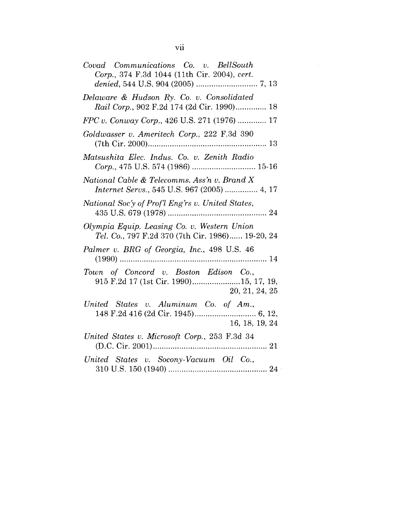| Covad Communications Co. v. BellSouth<br>Corp., 374 F.3d 1044 (11th Cir. 2004), cert.             |
|---------------------------------------------------------------------------------------------------|
|                                                                                                   |
| Delaware & Hudson Ry. Co. v. Consolidated<br>Rail Corp., 902 F.2d 174 (2d Cir. 1990) 18           |
| FPC v. Conway Corp., 426 U.S. 271 (1976)  17                                                      |
| Goldwasser v. Ameritech Corp., 222 F.3d 390                                                       |
| Matsushita Elec. Indus. Co. v. Zenith Radio<br>Corp., 475 U.S. 574 (1986)  15-16                  |
| National Cable & Telecomms. Ass'n v. Brand X<br>Internet Servs., 545 U.S. 967 (2005)  4, 17       |
| National Soc'y of Prof'l Eng'rs v. United States,                                                 |
| Olympia Equip. Leasing Co. v. Western Union<br>Tel. Co., 797 F.2d 370 (7th Cir. 1986) 19-20, 24   |
| Palmer v. BRG of Georgia, Inc., 498 U.S. 46                                                       |
| Town of Concord v. Boston Edison Co.,<br>915 F.2d 17 (1st Cir. 1990)15, 17, 19,<br>20, 21, 24, 25 |
| United States v. Aluminum Co. of Am.,<br>16, 18, 19, 24                                           |
| United States v. Microsoft Corp., 253 F.3d 34                                                     |
| United States v. Socony-Vacuum Oil Co.,                                                           |

 $\label{eq:2} \frac{1}{\sqrt{2}}\sum_{i=1}^N\frac{1}{\sqrt{2}}\sum_{i=1}^N\frac{1}{\sqrt{2}}\sum_{i=1}^N\frac{1}{\sqrt{2}}\sum_{i=1}^N\frac{1}{\sqrt{2}}\sum_{i=1}^N\frac{1}{\sqrt{2}}\sum_{i=1}^N\frac{1}{\sqrt{2}}\sum_{i=1}^N\frac{1}{\sqrt{2}}\sum_{i=1}^N\frac{1}{\sqrt{2}}\sum_{i=1}^N\frac{1}{\sqrt{2}}\sum_{i=1}^N\frac{1}{\sqrt{2}}\sum_{i=1}^N\frac{1$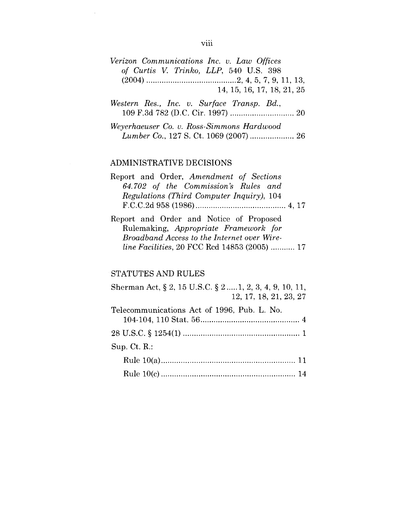| Verizon Communications Inc. v. Law Offices |                                        |                            |
|--------------------------------------------|----------------------------------------|----------------------------|
|                                            | of Curtis V. Trinko, LLP, 540 U.S. 398 |                            |
|                                            |                                        |                            |
|                                            |                                        | 14, 15, 16, 17, 18, 21, 25 |

- *Western Res., lnc. v. Surface Transp. Bd.,* 109 F.3d 782 (D.C. Cir. 1997) .............................20
- *Weyerhaeuser Co. v. Ross-Simmons Hardwood Lumber Co.,* 127 S. Ct. 1069 (2007) ....................26

## ADMINISTRATIVE DECISIONS

| Report and Order, Amendment of Sections   |  |
|-------------------------------------------|--|
| 64.702 of the Commission's Rules and      |  |
| Regulations (Third Computer Inquiry), 104 |  |
|                                           |  |

Report and Order and Notice of Proposed Rulemaking, *Appropriate Framework for Broadband Access to the Internet over Wireline Facilities,* 20 FCC Rcd 14853 (2005) ...........17

## STATUTES AND RULES

| Sherman Act, § 2, 15 U.S.C. § 2  1, 2, 3, 4, 9, 10, 11,<br>12, 17, 18, 21, 23, 27 |  |
|-----------------------------------------------------------------------------------|--|
| Telecommunications Act of 1996, Pub. L. No.                                       |  |
|                                                                                   |  |
| $Sup.$ Ct. R.:                                                                    |  |
|                                                                                   |  |
|                                                                                   |  |

## viii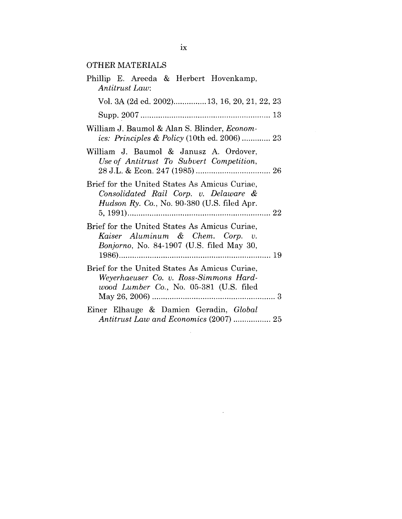# OTHER MATERIALS

| Phillip E. Areeda & Herbert Hovenkamp,<br>Antitrust Law:                                                                                      |
|-----------------------------------------------------------------------------------------------------------------------------------------------|
| Vol. 3A (2d ed. 2002) 13, 16, 20, 21, 22, 23                                                                                                  |
|                                                                                                                                               |
| William J. Baumol & Alan S. Blinder, Econom-<br><i>ics: Principles &amp; Policy</i> (10th ed. 2006)  23                                       |
| William J. Baumol & Janusz A. Ordover,<br>Use of Antitrust To Subvert Competition,                                                            |
| Brief for the United States As Amicus Curiae,<br>Consolidated Rail Corp. v. Delaware &<br><i>Hudson Ry. Co.</i> , No. 90-380 (U.S. filed Apr. |
| Brief for the United States As Amicus Curiae,<br>Kaiser Aluminum & Chem. Corp. v.<br><i>Bonjorno</i> , No. 84-1907 (U.S. filed May 30,        |
| Brief for the United States As Amicus Curiae,<br>Weyerhaeuser Co. v. Ross-Simmons Hard-<br>wood Lumber Co., No. 05-381 (U.S. filed            |
| Einer Elhauge & Damien Geradin, Global                                                                                                        |

 $\sim 10^{-11}$ 

 $\mathcal{L}^{\text{max}}_{\text{max}}$  , where  $\mathcal{L}^{\text{max}}_{\text{max}}$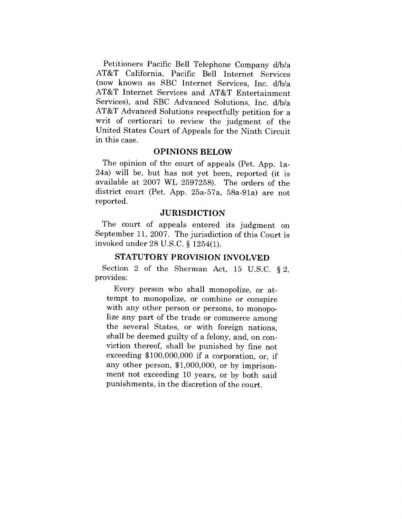Petitioners Pacific Bell Telephone Company d/b/a AT&T California, Pacific Bell Internet Services (now known as SBC Internet Services, Inc. d/b/a AT&T Internet Services and AT&T Entertainment Services), and SBC Advanced Solutions, Inc. d/b/a AT&T Advanced Solutions respectfully petition for a writ of certiorari to review the judgment of the United States Court of Appeals for the Ninth Circuit in this case.

### **OPINIONS BELOW**

The opinion of the court of appeals (Pet. App. 1a-24a) will be, but has not yet been, reported (it is available at 2007 WL 2597258). The orders of the district court (Pet. App. 25a-57a, 58a-91a) are not reported.

#### **JURISDICTION**

The court of appeals entered its judgment on September 11, 2007. The jurisdiction of this Court is invoked under 28 U.S.C. § 1254(1).

## **STATUTORY PROVISION INVOLVED**

Section 2 of the Sherman Act, 15 U.S.C. § 2, provides:

Every person who shall monopolize, or attempt to monopolize, or combine or conspire with any other person or persons, to monopolize any part of the trade or commerce among the several States, or with foreign nations, shall be deemed guilty of a felony, and, on conviction thereof, shall be punished by fine not exceeding \$100,000,000 if a corporation, or, if any other person, \$1,000,000, or by imprisonment not exceeding 10 years, or by both said punishments, in the discretion of the court.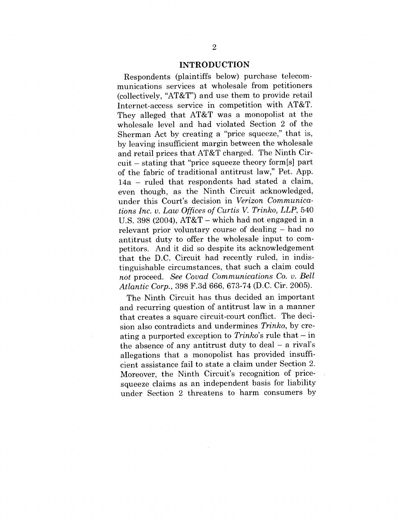#### **INTRODUCTION**

Respondents (plaintiffs below) purchase telecommunications services at wholesale from petitioners (collectively, "AT&T") and use them to provide retail Internet-access service in competition with AT&T. They alleged that AT&T was a monopolist at the wholesale level and had violated Section 2 of the Sherman Act by creating a "price squeeze," that is, by leaving insufficient margin between the wholesale and retail prices that AT&T charged. The Ninth Circuit - stating that "price squeeze theory form[s] part of the fabric of traditional antitrust law," Pet. App. 14a - ruled that respondents had stated a claim, even though, as the Ninth Circuit acknowledged, under this Court's decision in *Verizon Communications Inc. v. Law Offices of Curtis V. Trinko, LLP,* 540 U.S. 398 (2004),  $AT&T$  – which had not engaged in a relevant prior voluntary course of dealing – had no antitrust duty to offer the wholesale input to competitors. And it did so despite its acknowledgement that the D.C. Circuit had recently ruled, in indistinguishable circumstances, that such a claim could *not* proceed. *See Covad Communications Co. v. Bell Atlantic Corp.,* 398 F.3d 666, 673-74 (D.C. Cir. 2005).

The Ninth Circuit has thus decided an important and recurring question of antitrust law in a manner that creates a square circuit-court conflict. The decision also contradicts and undermines *Trinko,* by creating a purported exception to *Trinko*'s rule that – in the absence of any antitrust duty to deal  $-$  a rival's allegations that a monopolist has provided insufficient assistance fail to state a claim under Section 2. Moreover, the Ninth Circuit's recognition of pricesqueeze claims as an independent basis for liability under Section 2 threatens to harm consumers by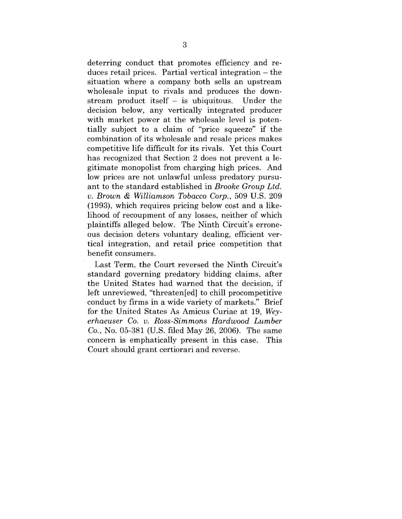deterring conduct that promotes efficiency and reduces retail prices. Partial vertical integration - the situation where a company both sells an upstream wholesale input to rivals and produces the downstream product itself  $-$  is ubiquitous. Under the decision below, any vertically integrated producer with market power at the wholesale level is potentially subject to a claim of "price squeeze" if the combination of its wholesale and resale prices makes competitive life difficult for its rivals. Yet this Court has recognized that Section 2 does not prevent a legitimate monopolist from charging high prices. And low prices are not unlawful unless predatory pursuant to the standard established in *Brooke Group Ltd. v. Brown & Williamson Tobacco Corp.,* 509 U.S. 209 (1993), which requires pricing below cost and a likelihood of recoupment of any losses, neither of which plaintiffs alleged below. The Ninth Circuit's erroneous decision deters voluntary dealing, efficient vertical integration, and retail price competition that benefit consumers.

Last Term, the Court reversed the Ninth Circuit's standard governing predatory bidding claims, after the United States had warned that the decision, if left unreviewed, "threaten[ed] to chill procompetitive conduct by firms in a wide variety of markets." Brief for the United States As Amicus Curiae at 19, *Weyerhaeuser Co. v. Ross-Simmons Hardwood Lumber Co.,* No. 05-381 (U.S. filed May 26, 2006). The same concern is emphatically present in this case. This Court should grant certiorari and reverse.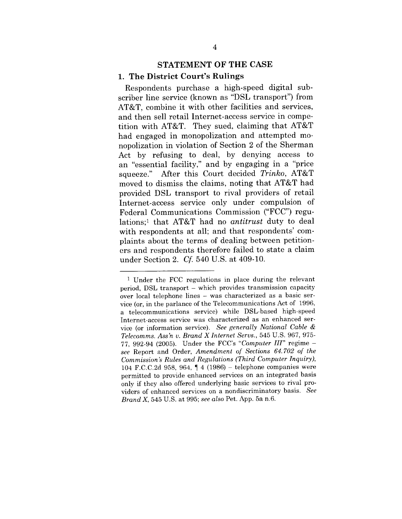# **STATEMENT OF THE CASE**

#### **1. The District Court's Rulings**

Respondents purchase a high-speed digital subscriber line service (known as "DSL transport") from AT&T, combine it with other facilities and services, and then sell retail Internet-access service in competition with AT&T. They sued, claiming that AT&T had engaged in monopolization and attempted monopolization in violation of Section 2 of the Sherman Act by refusing to deal, by denying access to an "essential facility," and by engaging in a "price squeeze." After this Court decided *Trinko,* AT&T moved to dismiss the claims, noting that AT&T had provided DSL transport to rival providers of retail Internet-access service only under compulsion of Federal Communications Commission ("FCC") regulations;1 that AT&T had no *antitrust* duty to deal with respondents at all; and that respondents' complaints about the terms of dealing between petitioners and respondents therefore failed to state a claim under Section 2. *Cf.* 540 U.S. at 409-10.

<sup>1</sup> Under the FCC regulations in place during the relevant period, DSL transport - which provides transmission capacity over local telephone lines - was characterized as a basic service (or, in the parlance of the Telecommunications Act of 1996, a telecommunications service) while DSL-based high-speed Internet-access service was characterized as an enhanced service (or information service). *See generally National Cable & Telecomms. Ass'n v. Brand X Internet Servs.,* 545 U.S. 967, 975- 77, 992-94 (2005). Under the FCC's *"Computer III"* regime *see* Report and Order, *Amendment of Sections 64. 702 of the Commission's Rules and Regulations (Third Computer Inquiry),* 104 F.C.C.2d 958, 964,  $\parallel$  4 (1986) – telephone companies were permitted to provide enhanced services on an integrated basis only if they also offered underlying basic services to rival providers of enhanced services on a nondiscriminatory basis. *See Brand X,* 545 U.S. at 995; *see also* Pet. App. 5a n.6.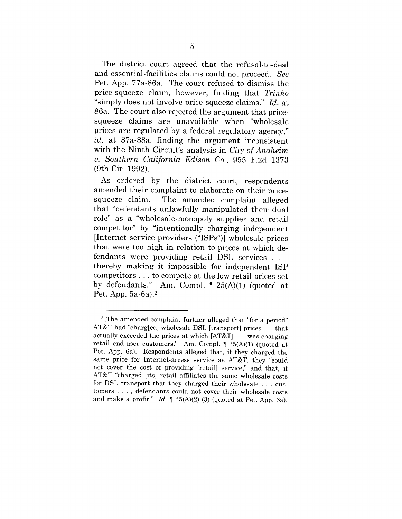The district court agreed that the refusal-to-deal and essential-facilities claims could not proceed. *See* Pet. App. 77a-86a. The court refused to dismiss the price-squeeze claim, however, finding that *Trinko* "simply does not involve price-squeeze claims." *Id.* at 86a. The court also rejected the argument that pricesqueeze claims are unavailable when "wholesale prices are regulated by a federal regulatory agency," *id.* at 87a-88a, finding the argument inconsistent with the Ninth Circuit's analysis in *City of Anaheim v. Southern California Edison Co.,* 955 F.2d 1373 (9th Cir. 1992).

As ordered by the district court, respondents amended their complaint to elaborate on their pricesqueeze claim. The amended complaint alleged that "defendants unlawfully manipulated their dual role" as a "wholesale-monopoly supplier and retail competitor" by "intentionally charging independent [Internet service providers ("ISPs")] wholesale prices that were too high in relation to prices at which defendants were providing retail DSL services thereby making it impossible for independent ISP competitors.., to compete at the low retail prices set by defendants." Am. Compl. ¶ 25(A)(1) (quoted at Pet. App. 5a-6a).2

<sup>2</sup> The amended complaint further alleged that "for a period" AT&T had "charg[ed] wholesale DSL [transport] prices.., that actually exceeded the prices at which [AT&T] . . . was charging retail end-user customers." Am. Compl. ¶ 25(A)(1) (quoted at Pet. App. 6a). Respondents alleged that, if they charged the same price for Internet-access service as AT&T, they "could not cover the cost of providing [retail] service," and that, if AT&T "charged [its] retail affiliates the same wholesale costs for DSL transport that they charged their wholesale . . . customers .... defendants could not cover their wholesale costs and make a profit." *Id.*  $\llbracket 25(A)(2)-(3)$  (quoted at Pet. App. 6a).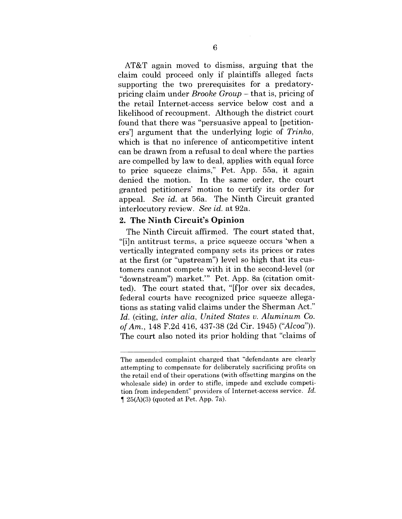AT&T again moved to dismiss, arguing that the claim could proceed only if plaintiffs alleged facts supporting the two prerequisites for a predatorypricing claim under *Brooke Group -* that is, pricing of the retail Internet-access service below cost and a likelihood of recoupment. Although the district court found that there was "persuasive appeal to [petitioners'] argument that the underlying logic of *Trinko,* which is that no inference of anticompetitive intent can be drawn from a refusal to deal where the parties are compelled by law to deal, applies with equal force to price squeeze claims," Pet. App. 55a, it again denied the motion. In the same order, the court granted petitioners' motion to certify its order for appeal. *See id.* at 56a. The Ninth Circuit granted interlocutory review. *See id.* at 92a.

## **2. The Ninth Circuit's Opinion**

The Ninth Circuit affirmed. The court stated that, "[i]n antitrust terms, a price squeeze occurs 'when a vertically integrated company sets its prices or rates at the first (or "upstream") level so high that its customers cannot compete with it in the second-level (or "downstream") market.'" Pet. App. 8a (citation omitted). The court stated that, "[f]or over six decades, federal courts have recognized price squeeze allegations as stating valid claims under the Sherman Act." *Id.* (citing, *inter alia, United States v. Aluminum Co. of Am.,* 148 F.2d 416, 437-38 (2d Cir. 1945) *("Alcoa")).* The court also noted its prior holding that "claims of

The amended complaint charged that "defendants are clearly attempting to compensate for deliberately sacrificing profits on the retail end of their operations (with offsetting margins on the wholesale side) in order to stifle, impede and exclude competition from independent" providers of Internet-access service. *Id.*  $\P$  25(A)(3) (quoted at Pet. App. 7a).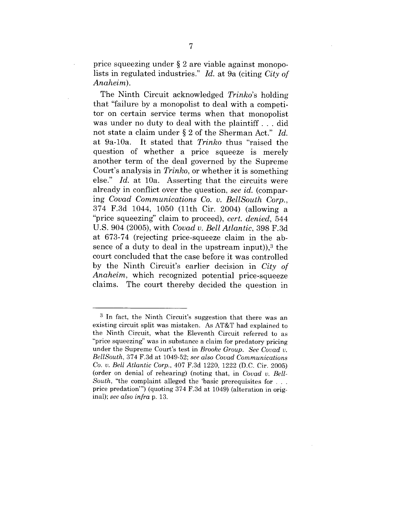price squeezing under § 2 are viable against monopolists in regulated industries." *Id.* at 9a (citing *City of Anaheim).*

The Ninth Circuit acknowledged *Trinko's* holding that "failure by a monopolist to deal with a competitor on certain service terms when that monopolist was under no duty to deal with the plaintiff.., did not state a claim under § 2 of the Sherman Act." *Id.* at 9a-10a. It stated that *Trinko* thus "raised the question of whether a price squeeze is merely another term of the deal governed by the Supreme Court's analysis in *Trinko,* or whether it is something else." *Id.* at 10a. Asserting that the circuits were already in conflict over the question, *see id.* (comparing *Covad Communications Co. v. BellSouth Corp.,* 374 F.3d 1044, 1050 (11th Cir. 2004) (allowing a "price squeezing" claim to proceed), *cert. denied,* 544 U.S. 904 (2005), with *Covad v. Bell Atlantic,* 398 F.3d at 673-74 (rejecting price-squeeze claim in the absence of a duty to deal in the upstream input)), $3$  the court concluded that the case before it was controlled by the Ninth Circuit's earlier decision in *City of Anaheim,* which recognized potential price-squeeze claims. The court thereby decided the question in

<sup>3</sup> In fact, the Ninth Circuit's suggestion that there was an existing circuit split was mistaken. As AT&T had explained to the Ninth Circuit, what the Eleventh Circuit referred to as "price squeezing" was in substance a claim for predatory pricing under the Supreme Court's test in *Brooke Group. See Covad v. BelISouth,* 374 F.3d at 1049-52; *see also Covad Communications Co. v. Bell Atlantic Corp.,* 407 F.3d 1220, 1222 (D.C. Cir. 2005) (order on denial of rehearing) (noting that, in *Covad v. Bell-South*, "the complaint alleged the 'basic prerequisites for ... price predation'") (quoting 374 F.3d at 1049) (alteration in original); *see also infra* p. 13.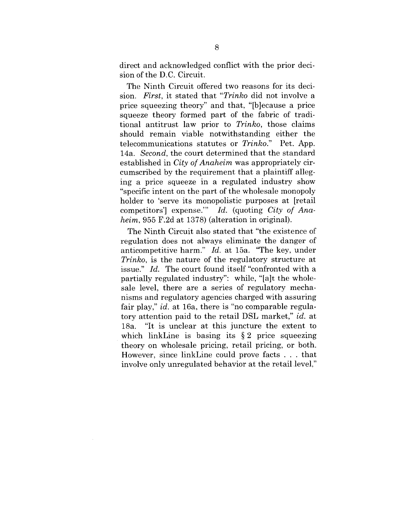direct and acknowledged conflict with the prior decision of the D.C. Circuit.

The Ninth Circuit offered two reasons for its decision. *First,* it stated that *"Trinko* did not involve a price squeezing theory" and that, "[b]ecause a price squeeze theory formed part of the fabric of traditional antitrust law prior to *Trinko,* those claims should remain viable notwithstanding either the telecommunications statutes or *Trinko."* Pet. App. 14a. *Second,* the court determined that the standard established in *City of Anaheim* was appropriately circumscribed by the requirement that a plaintiff alleging a price squeeze in a regulated industry show "specific intent on the part of the wholesale monopoly holder to 'serve its monopolistic purposes at [retail competitors'] expense.'" *Id.* (quoting *City of Anaheim,* 955 F.2d at 1378) (alteration in original).

The Ninth Circuit also stated that "the existence of regulation does not always eliminate the danger of anticompetitive harm." *Id.* at 15a. "The key, under *Trinko,* is the nature of the regulatory structure at issue." *Id.* The court found itself "confronted with a partially regulated industry": while, "[a]t the wholesale level, there are a series of regulatory mechanisms and regulatory agencies charged with assuring fair play," *id.* at 16a, there is "no comparable regulatory attention paid to the retail DSL market," *id.* at 18a. "It is unclear at this juncture the extent to which linkLine is basing its  $\S 2$  price squeezing theory on wholesale pricing, retail pricing, or both. However, since linkLine could prove facts . . . that involve only unregulated behavior at the retail level,"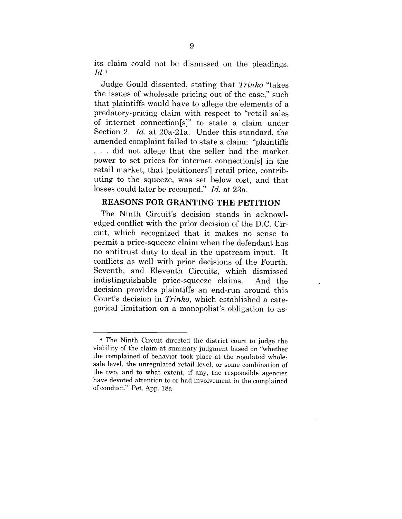its claim could not be dismissed on the pleadings.  $Id.4$ 

Judge Gould dissented, stating that *Trinko* "takes the issues of wholesale pricing out of the case," such that plaintiffs would have to allege the elements of a predatory-pricing claim with respect to "retail sales of internet connection[s]" to state a claim under Section 2. *Id.* at 20a-21a. Under this standard, the amended complaint failed to state a claim: "plaintiffs  $\ldots$  did not allege that the seller had the market power to set prices for internet connection[s] in the retail market, that [petitioners'] retail price, contributing to the squeeze, was set below cost, and that losses could later be recouped." *Id.* at 23a.

## **REASONS FOR GRANTING THE PETITION**

The Ninth Circuit's decision stands in acknowledged conflict with the prior decision of the D.C. Circuit, which recognized that it makes no sense to permit a price-squeeze claim when the defendant has no antitrust duty to deal in the upstream input. It conflicts as well with prior decisions of the Fourth, Seventh, and Eleventh Circuits, which dismissed indistinguishable price-squeeze claims. And the decision provides plaintiffs an end-run around this Court's decision in *Trinko,* which established a categorical limitation on a monopolist's obligation to as-

<sup>4</sup> The Ninth Circuit directed the district court to judge the viability of the claim at summary judgment based on "whether the complained of behavior took place at the regulated wholesale level, the unregulated retail level, or some combination of the two, and to what extent, if any, the responsible agencies have devoted attention to or had involvement in the complained of conduct." Pet. App. 18a.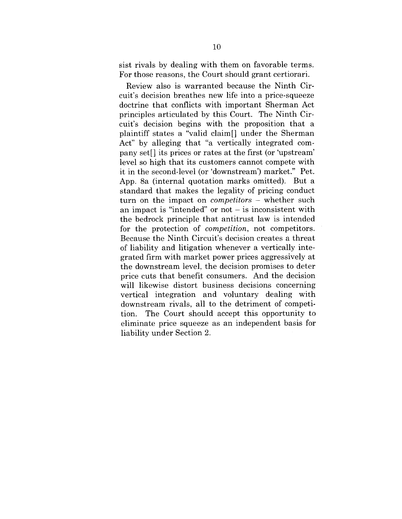sist rivals by dealing with them on favorable terms. For those reasons, the Court should grant certiorari.

Review also is warranted because the Ninth Circuit's decision breathes new life into a price-squeeze doctrine that conflicts with important Sherman Act principles articulated by this Court. The Ninth Circuit's decision begins with the proposition that a plaintiff states a "valid claim[] under the Sherman Act" by alleging that "a vertically integrated company set[] its prices or rates at the first (or 'upstream' level so high that its customers cannot compete with it in the second-level (or 'downstream') market." Pet. App. 8a (internal quotation marks omitted). But a standard that makes the legality of pricing conduct turn on the impact on *competitors -* whether such an impact is "intended" or not  $-$  is inconsistent with the bedrock principle that antitrust law is intended for the protection of *competition,* not competitors. Because the Ninth Circuit's decision creates a threat of liability and litigation whenever a vertically integrated firm with market power prices aggressively at the downstream level, the decision promises to deter price cuts that benefit consumers. And the decision will likewise distort business decisions concerning vertical integration and voluntary dealing with downstream rivals, all to the detriment of competition. The Court should accept this opportunity to eliminate price squeeze as an independent basis for liability under Section 2.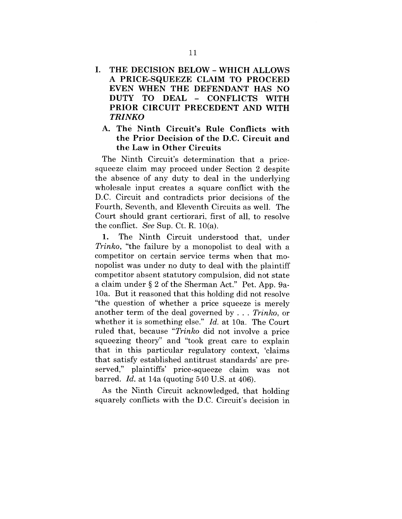- **I. THE DECISION BELOW- WHICH ALLOWS A PRICE-SQUEEZE CLAIM TO PROCEED EVEN WHEN THE DEFENDANT HAS NO DUTY TO DEAL - CONFLICTS** WITH **PRIOR CIRCUIT PRECEDENT AND WITH** *TRINKO*
	- **A. The Ninth Circuit's Rule Conflicts with the Prior Decision of the D.C. Circuit and the Law in Other Circuits**

The Ninth Circuit's determination that a pricesqueeze claim may proceed under Section 2 despite the absence of any duty to deal in the underlying wholesale input creates a square conflict with the D.C. Circuit and contradicts prior decisions of the Fourth, Seventh, and Eleventh Circuits as well. The Court should grant certiorari, first of all, to resolve the conflict. *See* Sup. Ct. R.  $10(a)$ .

1. The Ninth Circuit understood that, under *Trinko,* "the failure by a monopolist to deal with a competitor on certain service terms when that monopolist was under no duty to deal with the plaintiff competitor absent statutory compulsion, did not state a claim under § 2 of the Sherman Act." Pet. App. 9a-10a. But it reasoned that this holding did not resolve "the question of whether a price squeeze is merely another term of the deal governed by . . . *Trinko,* or whether it is something else." *Id.* at 10a. The Court ruled that, because *"Trinko* did not involve a price squeezing theory" and "took great care to explain that in this particular regulatory context, 'claims that satisfy established antitrust standards' are preserved," plaintiffs' price-squeeze claim was not barred. *Id.* at 14a (quoting 540 U.S. at 406).

As the Ninth Circuit acknowledged, that holding squarely conflicts with the D.C. Circuit's decision in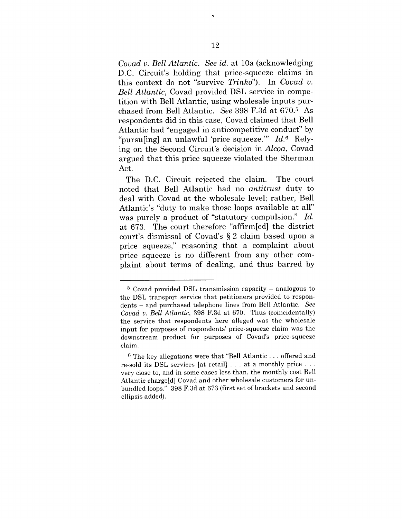*Covad v. Bell Atlantic. See id.* at 10a (acknowledging D.C. Circuit's holding that price-squeeze claims in this context do not "survive *Trinko").* In *Covad v. Bell Atlantic,* Covad provided DSL service in competition with Bell Atlantic, using wholesale inputs purchased from Bell Atlantic. *See* 398 F.3d at 670.5 As respondents did in this case, Covad claimed that Bell Atlantic had "engaged in anticompetitive conduct" by "pursu[ing] an unlawful 'price squeeze." *Id.*<sup>6</sup> Relying on the Second Circuit's decision in *Alcoa,* Covad argued that this price squeeze violated the Sherman Act.

The D.C. Circuit rejected the claim. The court noted that Bell Atlantic had no *antitrust* duty to deal with Covad at the wholesale level; rather, Bell Atlantic's "duty to make those loops available at all" was purely a product of "statutory compulsion." *Id.* at 673. The court therefore "affirm[ed] the district court's dismissal of Covad's § 2 claim based upon a price squeeze," reasoning that a complaint about price squeeze is no different from any other complaint about terms of dealing, and thus barred by

 $5$  Covad provided DSL transmission capacity – analogous to the DSL transport service that petitioners provided to respondents - and purchased telephone lines from Bell Atlantic. *See Covad v. Bell Atlantic,* 398 F.3d at 670. Thus (coincidentally) the service that respondents here alleged was the wholesale input for purposes of respondents' price-squeeze claim was the downstream product for purposes of Covad's price-squeeze claim.

 $6$  The key allegations were that "Bell Atlantic... offered and re-sold its DSL services [at retail] . . . at a monthly price . . . very close to, and in some cases less than, the monthly cost Bell Atlantic charge[d] Covad and other wholesale customers for unbundled loops." 398 F.3d at 673 (first set of brackets and second ellipsis added).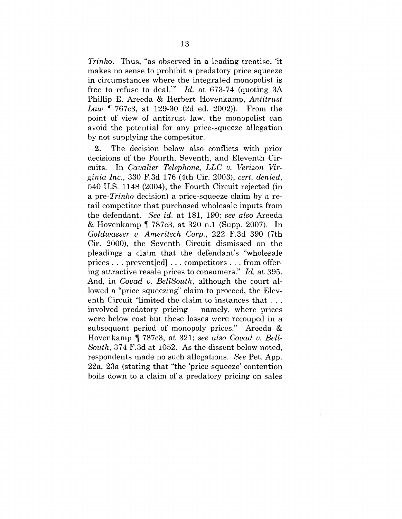*Trinko.* Thus, "as observed in a leading treatise, 'it makes no sense to prohibit a predatory price squeeze in circumstances where the integrated monopolist is free to refuse to deal.'" *Id.* at 673-74 (quoting 3A Phillip E. Areeda & Herbert Hovenkamp, *Antitrust Law ¶* 767c3, at 129-30 (2d ed. 2002)). From the point of view of antitrust law, the monopolist can avoid the potential for any price-squeeze allegation by not supplying the competitor.

2. The decision below also conflicts with prior decisions of the Fourth, Seventh, and Eleventh Circuits. In *Cavalier Telephone, LLC v. Verizon Virginia Inc.,* 330 F.3d 176 (4th Cir. 2003), *cert. denied,* 540 U.S. 1148 (2004), the Fourth Circuit rejected (in *a pre-Trinko* decision) a price-squeeze claim by a retail competitor that purchased wholesale inputs from the defendant. *See id.* at 181, 190; *see also* Areeda & Hovenkamp ¶ 787c3, at 320 n.1 (Supp. 2007). In *Goldwasser v. Ameritech Corp.,* 222 F.3d 390 (7th Cir. 2000), the Seventh Circuit dismissed on the pleadings a claim that the defendant's "wholesale prices . . . prevent[ed] . . . competitors . .. from offering attractive resale prices to consumers." *Id.* at 395. And, in *Covad v. BellSouth,* although the court allowed a "price squeezing" claim to proceed, the Eleventh Circuit "limited the claim to instances that . . . involved predatory pricing - namely, where prices were below cost but these losses were recouped in a subsequent period of monopoly prices." Areeda & Hovenkamp ¶ 787c3, at 321; *see also Covad v. Bell-South,* 374 F.3d at 1052. As the dissent below noted, respondents made no such allegations. *See* Pet. App. 22a, 23a (stating that "the 'price squeeze' contention boils down to a claim of a predatory pricing on sales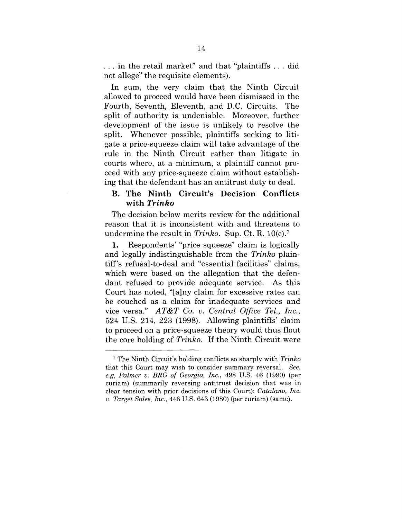... in the retail market" and that "plaintiffs ... did not allege" the requisite elements).

In sum, the very claim that the Ninth Circuit allowed to proceed would have been dismissed in the Fourth, Seventh, Eleventh, and D.C. Circuits. The split of authority is undeniable. Moreover, further development of the issue is unlikely to resolve the split. Whenever possible, plaintiffs seeking to litigate a price-squeeze claim will take advantage of the rule in the Ninth Circuit rather than litigate in courts where, at a minimum, a plaintiff cannot proceed with any price-squeeze claim without establishing that the defendant has an antitrust duty to deal.

## **B. The Ninth Circuit's Decision Conflicts with** *Trinko*

The decision below merits review for the additional reason that it is inconsistent with and threatens to undermine the result in *Trinko.* Sup. Ct. R. 10(c).7

1. Respondents' "price squeeze" claim is logically and legally indistinguishable from the *Trinko* plaintiff's refusal-to-deal and "essential facilities" claims, which were based on the allegation that the defendant refused to provide adequate service. As this Court has noted, "[a]ny claim for excessive rates can be couched as a claim for inadequate services and vice versa." *AT&T Co. v. Central Office Tel., Inc.,* 524 U.S. 214, 223 (1998). Allowing plaintiffs' claim to proceed on a price-squeeze theory would thus flout the core holding of *Trinko.* If the Ninth Circuit were

<sup>7</sup> The Ninth Circuit's holding conflicts so sharply with *Trinko* that this Court may wish to consider summary reversal. *See, e.g, Palmer v. BRG of Georgia, Inc.,* 498 U.S. 46 (1990) (per curiam) (summarily reversing antitrust decision that was in clear tension with prior decisions of this Court); *Catalano, Inc. v. Target Sales, Inc.,* 446 U.S. 643 (1980) (per curiam) (same).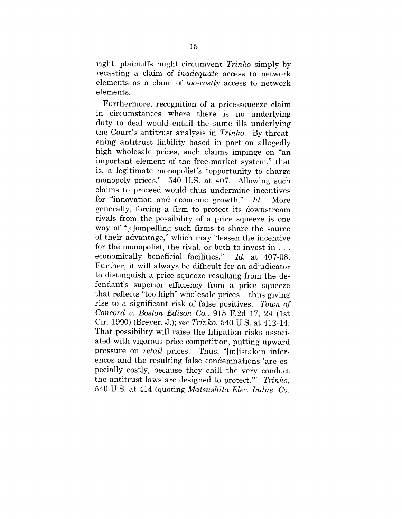right, plaintiffs might circumvent *Trinko* simply by recasting a claim of *inadequate* access to network elements as a claim of *too-costly* access to network elements.

Furthermore, recognition of a price-squeeze claim in circumstances where there is no underlying duty to deal would entail the same ills underlying the Court's antitrust analysis in *Trinko.* By threatening antitrust liability based in part on allegedly high wholesale prices, such claims impinge on "an important element of the free-market system," that is, a legitimate monopolist's "opportunity to charge monopoly prices." 540 U.S. at 407. Allowing such claims to proceed would thus undermine incentives for "innovation and economic growth." *Id.* More generally, forcing a firm to protect its downstream rivals from the possibility of a price squeeze is one way of "[c]ompelling such firms to share the source of their advantage," which may "lessen the incentive for the monopolist, the rival, or both to invest in... economically beneficial facilities." *Id.* at 407-08. Further, it will always be difficult for an adjudicator to distinguish a price squeeze resulting from the defendant's superior efficiency from a price squeeze that reflects "too high" wholesale prices  $-$  thus giving rise to a significant risk of false positives. *Town of Concord v. Boston Edison Co.,* 915 F.2d 17, 24 (1st Cir. 1990) (Breyer, J.); *see Trinko,* 540 U.S. at 412-14. That possibility will raise the litigation risks associated with vigorous price competition, putting upward pressure on *retail* prices. Thus, "[m]istaken inferences and the resulting false condemnations 'are especially costly, because they chill the very conduct the antitrust laws are designed to protect.'" *Trinko,* 540 U.S. at 414 (quoting *Matsushita Elec. Indus. Co.*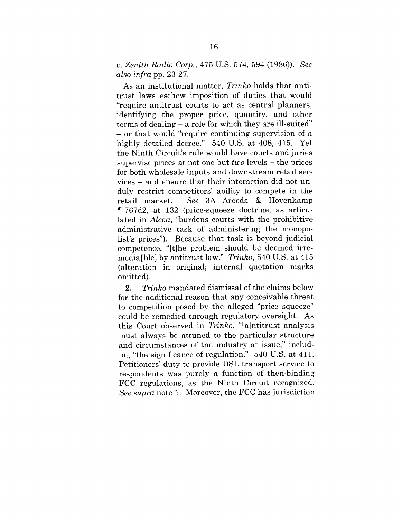*v. Zenith Radio Corp.,* 475 U.S. 574, 594 (1986)). *See also infra* pp. 23-27.

As an institutional matter, *Trinko* holds that antitrust laws eschew imposition of duties that would "require antitrust courts to act as central planners, identifying the proper price, quantity, and other terms of dealing – a role for which they are ill-suited" **-** or that would "require continuing supervision of a highly detailed decree." 540 U.S. at 408, 415. Yet the Ninth Circuit's rule would have courts and juries supervise prices at not one but *two* levels - the prices for both wholesale inputs and downstream retail services - and ensure that their interaction did not unduly restrict competitors' ability to compete in the retail market. *See* 3A Areeda & Hovenkamp ¶ 767d2, at 132 (price-squeeze doctrine, as articulated in *Alcoa,* "burdens courts with the prohibitive administrative task of administering the monopolist's prices"). Because that task is beyond judicial competence, "It]he problem should be deemed irremedia[ble] by antitrust law." *Trinko*, 540 U.S. at 415 (alteration in original; internal quotation marks omitted).

*2. Trinko* mandated dismissal of the claims below for the additional reason that any conceivable threat to competition posed by the alleged "price squeeze" could be remedied through regulatory oversight. As this Court observed in *Trinko,* "[a]ntitrust analysis must always be attuned to the particular structure and circumstances of the industry at issue," including "the significance of regulation." 540 U.S. at 411. Petitioners' duty to provide DSL transport service to respondents was purely a function of then-binding FCC regulations, as the Ninth Circuit recognized. *See supra* note 1. Moreover, the FCC has jurisdiction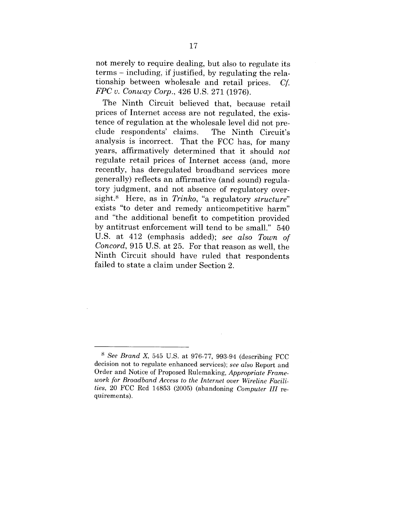not merely to require dealing, but also to regulate its terms - including, if justified, by regulating the relationship between wholesale and retail prices. Cf. *FPC v. Conway Corp.,* 426 U.S. 271 (1976).

The Ninth Circuit believed that, because retail prices of Internet access are not regulated, the existence of regulation at the wholesale level did not preclude respondents' claims. The Ninth Circuit's analysis is incorrect. That the FCC has, for many years, affirmatively determined that it should *not* regulate retail prices of Internet access (and, more recently, has deregulated broadband services more generally) reflects an affirmative (and sound) regulatory judgment, and not absence of regulatory oversight.<sup>8</sup> Here, as in *Trinko*, "a regulatory *structure*" exists "to deter and remedy anticompetitive harm" and "the additional benefit to competition provided by antitrust enforcement will tend to be small." 540 U.S. at 412 (emphasis added); *see also Town of Concord,* 915 U.S. at 25. For that reason as well, the Ninth Circuit should have ruled that respondents failed to state a claim under Section 2.

*s See Brand X,* 545 U.S. at 976-77, 993-94 (describing FCC decision not to regulate enhanced services); *see also* Report and Order and Notice of Proposed Rulemaking, *Appropriate Framework for Broadband Access to the Internet over Wireline Facilities,* 20 FCC Rcd 14853 (2005) (abandoning *Computer III* requirements).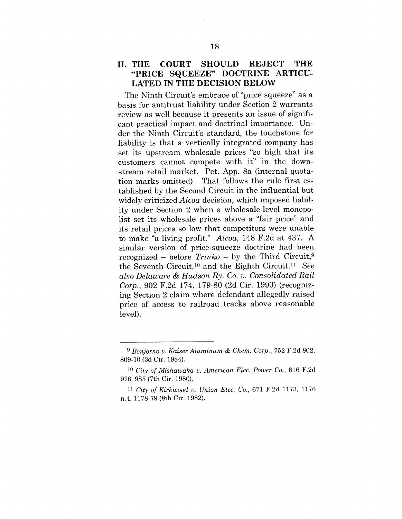## **II. THE COURT SHOULD REJECT THE "PRICE SQUEEZE" DOCTRINE ARTICU-LATED IN THE DECISION BELOW**

The Ninth Circuit's embrace of "price squeeze" as a basis for antitrust liability under Section 2 warrants review as well because it presents an issue of significant practical impact and doctrinal importance. Under the Ninth Circuit's standard, the touchstone for liability is that a vertically integrated company has set its upstream wholesale prices "so high that its customers cannot compete with it" in the downstream retail market. Pet. App. 8a (internal quotation marks omitted). That follows the rule first established by the Second Circuit in the influential but widely criticized *Alcoa* decision, which imposed liability under Section 2 when a wholesale-level monopolist set its wholesale prices above a "fair price" and its retail prices so low that competitors were unable to make "a living profit." *Alcoa,* 148 F.2d at 437. A similar version of price-squeeze doctrine had been recognized - before *Trinko -* by the Third Circuit,9 the Seventh Circuit,1° and the Eighth Circuit.11 *See also Delaware & Hudson Ry. Co. v. Consolidated Rail Corp.,* 902 F.2d 174, 179-80 (2d Cir. 1990) (recognizing Section 2 claim where defendant allegedly raised price of access to railroad tracks above reasonable level).

*<sup>9</sup> Bonjorno v. Kaiser Aluminum & Chem. Corp.,* 752 F.2d 802, 809-10 (3d Cir. 1984).

*lo City of Mishawaka v. American Elec. Power Co.,* 616 F.2d 976, 985 (7th Cir. 1980).

<sup>11</sup> *City of Kirkwood v. Union Elec. Co.,* 671 F.2d 1173, 1176 n.4, 1178-79 (8th Cir. 1982).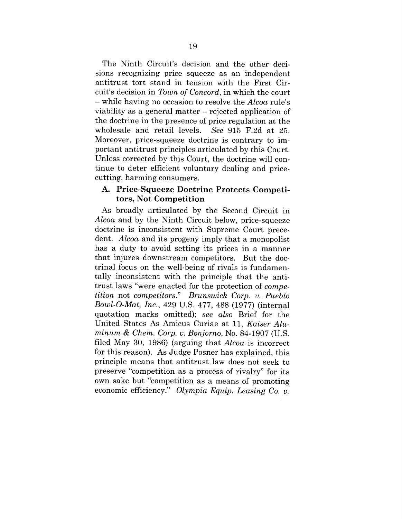The Ninth Circuit's decision and the other decisions recognizing price squeeze as an independent antitrust tort stand in tension with the First Circuit's decision in *Town of Concord,* in which the court - while having no occasion to resolve the *Alcoa* rule's viability as a general matter – rejected application of the doctrine in the presence of price regulation at the wholesale and retail levels. *See* 915 F.2d at 25. Moreover, price-squeeze doctrine is contrary to important antitrust principles articulated by this Court. Unless corrected by this Court, the doctrine will continue to deter efficient voluntary dealing and pricecutting, harming consumers.

## **A. Price-Squeeze Doctrine Protects Competitors, Not Competition**

As broadly articulated by the Second Circuit in *Alcoa* and by the Ninth Circuit below, price-squeeze doctrine is inconsistent with Supreme Court precedent. *Alcoa* and its progeny imply that a monopolist has a duty to avoid setting its prices in a manner that injures downstream competitors. But the doctrinal focus on the well-being of rivals is fundamentally inconsistent with the principle that the antitrust laws "were enacted for the protection of *competition* not *competitors." Brunswick Corp. v. Pueblo Bowl-O-Mat, Inc.,* 429 U.S. 477, 488 (1977) (internal quotation marks omitted); *see also* Brief for the United States As Amicus Curiae at 11, *Kaiser Aluminum & Chem. Corp. v. Bonjorno,* No. 84-1907 (U.S. filed May 30, 1986) (arguing that *Alcoa* is incorrect for this reason). As Judge Posner has explained, this principle means that antitrust law does not seek to preserve "competition as a process of rivalry" for its own sake but "competition as a means of promoting economic efficiency." *Olympia Equip. Leasing Co. v.*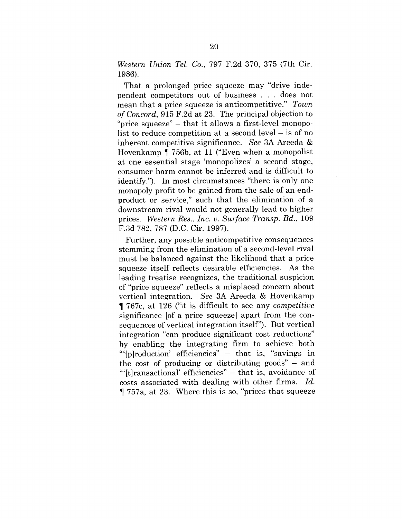*Western Union Tel. Co.,* 797 F.2d 370, 375 (7th Cir. 1986).

That a prolonged price squeeze may "drive independent competitors out of business . . . does not mean that a price squeeze is anticompetitive." *Town of Concord,* 915 F.2d at 23. The principal objection to "price squeeze" - that it allows a first-level monopolist to reduce competition at a second level  $-$  is of no inherent competitive significance. *See* 3A Areeda & Hovenkamp ¶ 756b, at 11 ("Even when a monopolist at one essential stage 'monopolizes' a second stage, consumer harm cannot be inferred and is difficult to identify."). In most circumstances "there is only one monopoly profit to be gained from the sale of an endproduct or service," such that the elimination of a downstream rival would not generally lead to higher prices. *Western Res., Inc. v. Surface Transp. Bd.,* 109 F.3d 782, 787 (D.C. Cir. 1997).

Further, any possible anticompetitive consequences stemming from the elimination of a second-level rival must be balanced against the likelihood that a price squeeze itself reflects desirable efficiencies. As the leading treatise recognizes, the traditional suspicion of "price squeeze" reflects a misplaced concern about vertical integration. *See* 3A Areeda & Hovenkamp ¶ 767c, at 126 ("it is difficult to see any *competitive* significance [of a price squeeze] apart from the consequences of vertical integration itself"). But vertical integration "can produce significant cost reductions" by enabling the integrating firm to achieve both "'[p]roduction' efficiencies" - that is, "savings in the cost of producing or distributing goods"  $-$  and "'[t]ransactional' efficiencies" - that is, avoidance of costs associated with dealing with other firms. *Id.* ¶ 757a, at 23. Where this is so, "prices that squeeze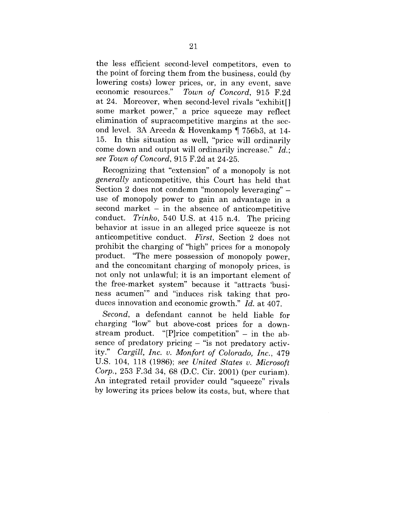the less efficient second-level competitors, even to the point of forcing them from the business, could (by lowering costs) lower prices, or, in any event, save economic resources." *Town of Concord,* 915 F.2d at 24. Moreover, when second-level rivals "exhibit[] some market power," a price squeeze may reflect elimination of supracompetitive margins at the second level. 3A Areeda & Hovenkamp ¶ 756b3, at 14- 15. In this situation as well, "price will ordinarily come down and output will ordinarily increase." *Id.; see Town of Concord, 915 F.2d at 24-25.* 

Recognizing that "extension" of a monopoly is not *generally* anticompetitive, this Court has held that Section 2 does not condemn "monopoly leveraging" – use of monopoly power to gain an advantage in a  $second$  market  $-$  in the absence of anticompetitive conduct. *Trinko,* 540 U.S. at 415 n.4. The pricing behavior at issue in an alleged price squeeze is not anticompetitive conduct. *First,* Section 2 does not prohibit the charging of "high" prices for a monopoly product. "The mere possession of monopoly power, and the concomitant charging of monopoly prices, is not only not unlawful; it is an important element of the free-market system" because it "attracts 'business acumen'" and "induces risk taking that produces innovation and economic growth." *Id.* at 407.

*Second,* a defendant cannot be held liable for charging "low" but above-cost prices for a downstream product. "[P]rice competition" - in the absence of predatory pricing  $-$  "is not predatory activity." *Cargill, Inc. v. Monfort of Colorado, Inc.,* 479 U.S. 104, 118 (1986); see United States v. Microsoft *Corp.,* 253 F.3d 34, 68 (D.C. Cir. 2001) (per curiam). An integrated retail provider could "squeeze" rivals by lowering its prices below its costs, but, where that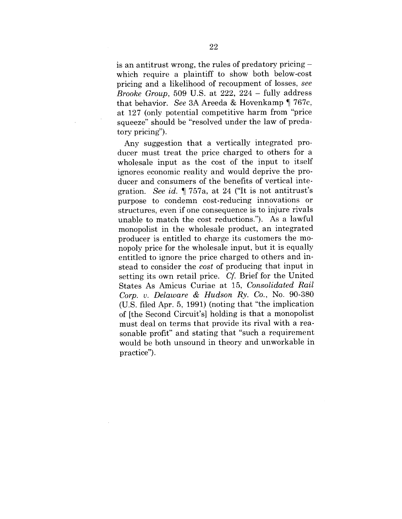is an antitrust wrong, the rules of predatory pricing which require a plaintiff to show both below-cost pricing and a likelihood of recoupment of losses, *see Brooke Group,* 509 U.S. at 222, 224 - fully address that behavior. *See* 3A Areeda & Hovenkamp ¶ 767c, at 127 (only potential competitive harm from "price squeeze" should be "resolved under the law of predatory pricing").

Any suggestion that a vertically integrated producer must treat the price charged to others for a wholesale input as the cost of the input to itself ignores economic reality and would deprive the producer and consumers of the benefits of vertical integration. *See id. ¶* 757a, at 24 ("It is not antitrust's purpose to condemn cost-reducing innovations or structures, even if one consequence is to injure rivals unable to match the cost reductions."). As a lawful monopolist in the wholesale product, an integrated producer is entitled to charge its customers the monopoly price for the wholesale input, but it is equally entitled to ignore the price charged to others and instead to consider the *cost* of producing that input in setting its own retail price. *Cf.* Brief for the United States As Amicus Curiae at 15, *Consolidated Rail Corp. v. Delaware & Hudson Ry. Co.,* No. 90-380 (U.S. filed Apr. 5, 1991) (noting that "the implication of [the Second Circuit's] holding is that a monopolist must deal on terms that provide its rival with a reasonable profit" and stating that "such a requirement would be both unsound in theory and unworkable in practice").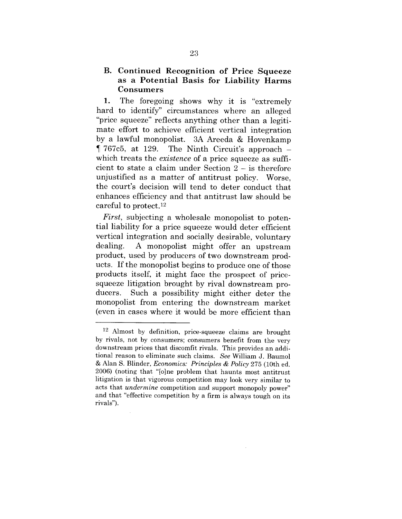# **B. Continued Recognition of Price Squeeze as a Potential Basis for Liability Harms Consumers**

1. The foregoing shows why it is "extremely hard to identify" circumstances where an alleged "price squeeze" reflects anything other than a legitimate effort to achieve efficient vertical integration by a lawful monopolist. 3A Areeda & Hovenkamp  $\P$  767c5, at 129. The Ninth Circuit's approach – which treats the *existence* of a price squeeze as sufficient to state a claim under Section 2 - is therefore unjustified as a matter of antitrust policy. Worse, the court's decision will tend to deter conduct that enhances efficiency and that antitrust law should be careful to protect.12

*First,* subjecting a wholesale monopolist to potential liability for a price squeeze would deter efficient vertical integration and socially desirable, voluntary dealing. A monopolist might offer an upstream product, used by producers of two downstream products. If the monopolist begins to produce one of those products itself, it might face the prospect of pricesqueeze litigation brought by rival downstream producers. Such a possibility might either deter the monopolist from entering the downstream market (even in cases where it would be more efficient than

<sup>12</sup> Almost by definition, price-squeeze claims are brought by rivals, not by consumers; consumers benefit from the very downstream prices that discomfit rivals. This provides an additional reason to eliminate such claims. *See* William J. Baumol & Alan S. Blinder, *Economics: Principles & Policy* 275 (10th ed. 2006) (noting that "[o]ne problem that haunts most antitrust litigation is that vigorous competition may look very similar to acts that *undermine* competition and support monopoly power" and that "effective competition by a firm is always tough on its rivals").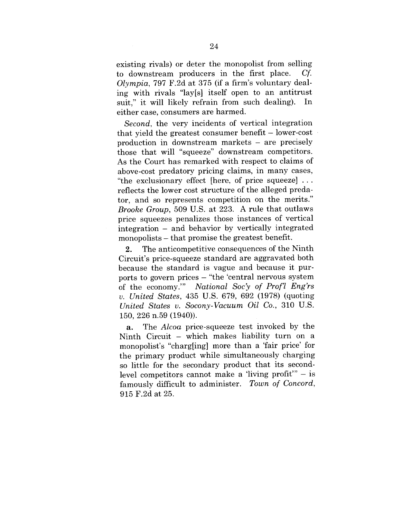existing rivals) or deter the monopolist from selling to downstream producers in the first place. *Cf. Olympia,* 797 F.2d at 375 (if a firm's voluntary dealing with rivals "lay[s] itself open to an antitrust suit," it will likely refrain from such dealing). In either case, consumers are harmed.

*Second,* the very incidents of vertical integration that yield the greatest consumer benefit - lower-cost production in downstream markets - are precisely those that will "squeeze" downstream competitors. As the Court has remarked with respect to claims of above-cost predatory pricing claims, in many cases, "the exclusionary effect [here, of price squeeze] ... reflects the lower cost structure of the alleged predator, and so represents competition on the merits." *Brooke Group,* 509 U.S. at 223. A rule that outlaws price squeezes penalizes those instances of vertical integration - and behavior by vertically integrated monopolists – that promise the greatest benefit.

2. The anticompetitive consequences of the Ninth Circuit's price-squeeze standard are aggravated both because the standard is vague and because it purports to govern prices -"the 'central nervous system of the economy.'" *National Soc'y of Prof'l Eng'rs v. United States,* 435 U.S. 679, 692 (1978) (quoting *United States v. Socony-Vacuum Oil Co.,* 310 U.S. 150, 226 n.59 (1940)).

a. The *Alcoa* price-squeeze test invoked by the Ninth Circuit – which makes liability turn on a monopolist's "charg[ing] more than a 'fair price' for the primary product while simultaneously charging so little for the secondary product that its secondlevel competitors cannot make a 'living profit'"  $-$  is famously difficult to administer. *Town of Concord,* 915 F.2d at 25.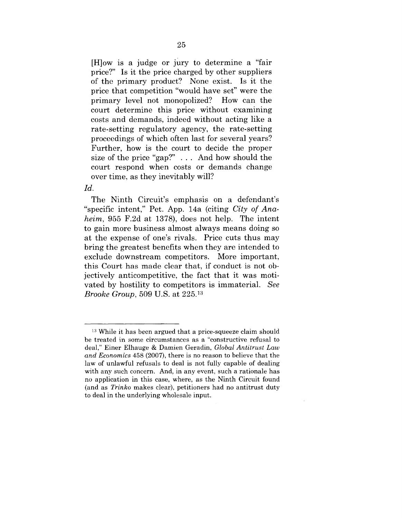[H]ow is a judge or jury to determine a "fair price?" Is it the price charged by other suppliers of the primary product? None exist. Is it the price that competition "would have set" were the primary level not monopolized? How can the court determine this price without examining costs and demands, indeed without acting like a rate-setting regulatory agency, the rate-setting proceedings of which often last for several years? Further, how is the court to decide the proper size of the price "gap?" . . . And how should the court respond when costs or demands change over time, as they inevitably will?

#### *Id.*

The Ninth Circuit's emphasis on a defendant's "specific intent," Pet. App. 14a (citing *City of Anaheim,* 955 F.2d at 1378), does not help. The intent to gain more business almost always means doing so at the expense of one's rivals. Price cuts thus may bring the greatest benefits when they are intended to exclude downstream competitors. More important, this Court has made clear that, if conduct is not objectively anticompetitive, the fact that it was motivated by hostility to competitors is immaterial. *See Brooke Group,* 509 U.S. at 225.13

<sup>&</sup>lt;sup>13</sup> While it has been argued that a price-squeeze claim should be treated in some circumstances as a "constructive refusal to deal," Einer Elhauge & Damien Geradin, *Global Antitrust Law and Economics* 458 (2007), there is no reason to believe that the law of unlawful refusals to deal is not fully capable of dealing with any such concern. And, in any event, such a rationale has no application in this case, where, as the Ninth Circuit found (and as *Trinko* makes clear), petitioners had no antitrust duty to deal in the underlying wholesale input.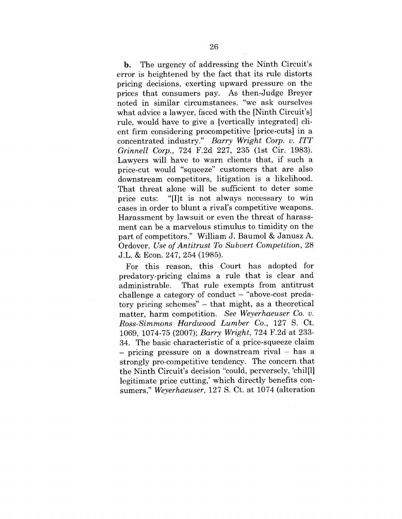b. The urgency of addressing the Ninth Circuit's error is heightened by the fact that its rule distorts pricing decisions, exerting upward pressure on the prices that consumers pay. As then-Judge Breyer noted in similar circumstances, "we ask ourselves what advice a lawyer, faced with the [Ninth Circuit's] rule, would have to give a [vertically integrated] client firm considering procompetitive [price-cuts] in a concentrated industry." *Barry Wright Corp. v. ITT Grinnell Corp.,* 724 F.2d 227, 235 (1st Cir. 1983). Lawyers will have to warn clients that, if such a price-cut would "squeeze" customers that are also downstream competitors, litigation is a likelihood. That threat alone will be sufficient to deter some price cuts: "[I]t is not always necessary to win cases in order to blunt a rival's competitive weapons. Harassment by lawsuit or even the threat of harassment can be a marvelous stimulus to timidity on the part of competitors." William J. Baumol & Janusz A. Ordover, *Use of Antitrust To Subvert Competition,* 28 J.L. & Econ. 247, 254 (1985).

For this reason, this Court has adopted for predatory-pricing claims a rule that is clear and administrable. That rule exempts from antitrust challenge a category of conduct  $-$  "above-cost predatory pricing schemes" - that might, as a theoretical matter, harm competition. *See Weyerhaeuser Co. v. Ross-Simmons Hardwood Lumber Co.,* 127 S. Ct. 1069, 1074-75 (2007); *Barry Wright,* 724 F.2d at 233- 34. The basic characteristic of a price-squeeze claim - pricing pressure on a downstream rival - has a strongly pro-competitive tendency. The concern that the Ninth Circuit's decision "could, perversely, 'chil<sub>[1]</sub> legitimate price cutting,' which directly benefits consumers," *Weyerhaeuser,* 127 S. Ct. at 1074 (alteration